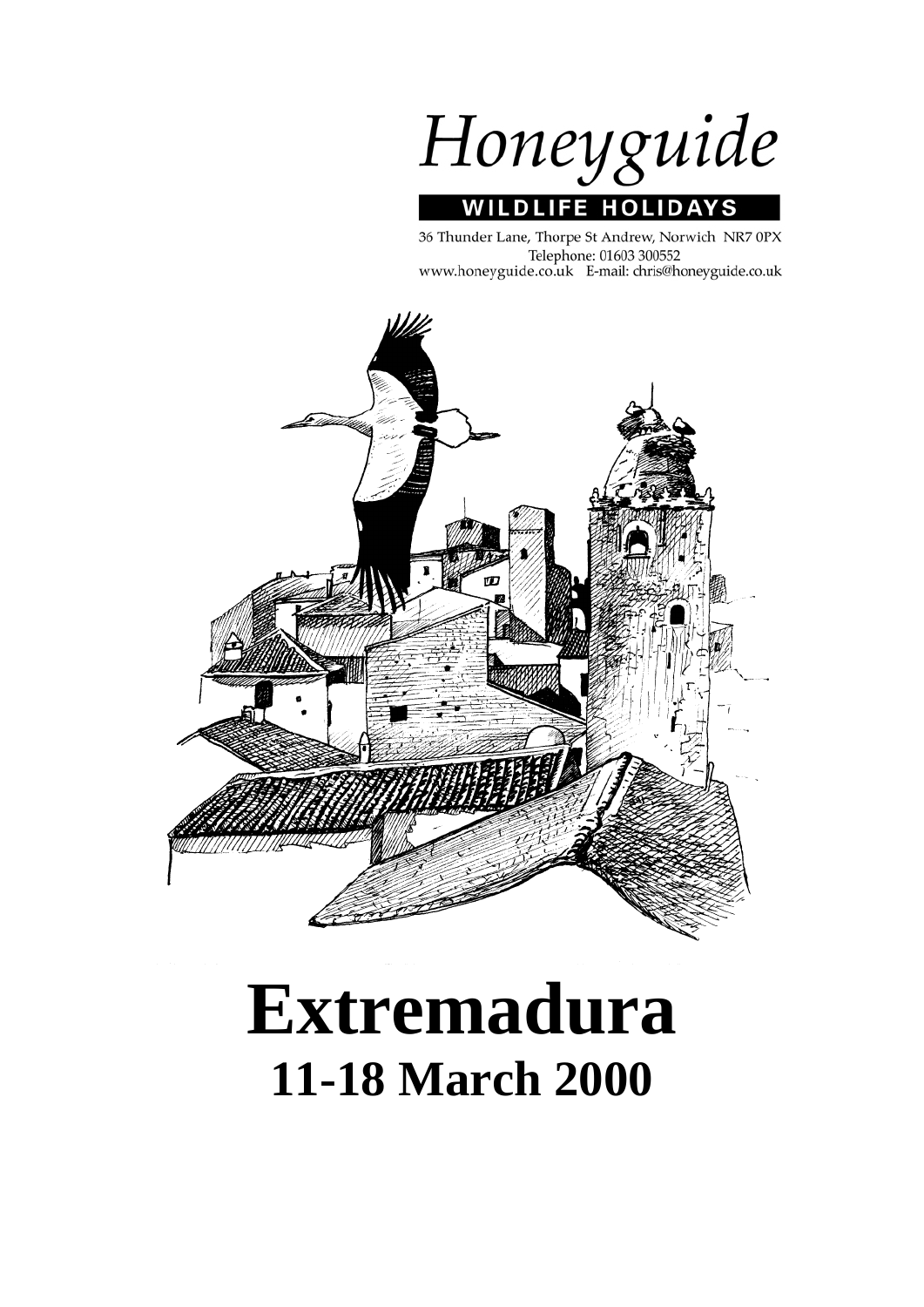Honeyguide **WILDLIFE HOLIDAYS** 

36 Thunder Lane, Thorpe St Andrew, Norwich NR7 0PX Telephone: 01603 300552 www.honeyguide.co.uk E-mail: chris@honeyguide.co.uk



# **Extremadura 11-18 March 2000**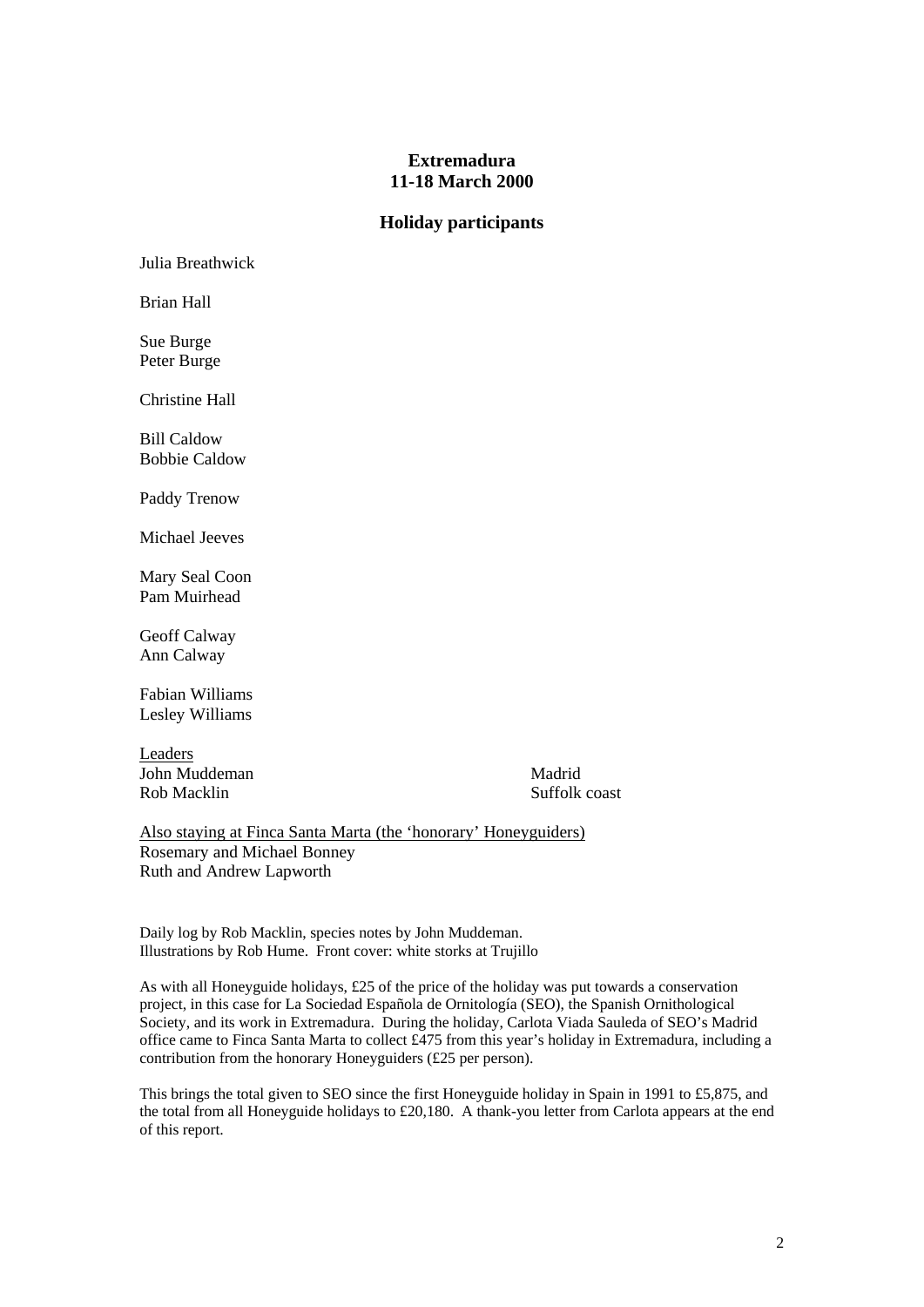# **Extremadura 11-18 March 2000**

# **Holiday participants**

Julia Breathwick

Brian Hall

Sue Burge Peter Burge

Christine Hall

Bill Caldow Bobbie Caldow

Paddy Trenow

Michael Jeeves

Mary Seal Coon Pam Muirhead

Geoff Calway Ann Calway

Fabian Williams Lesley Williams

Leaders **John Muddeman** Madrid Rob Macklin Suffolk coast

Also staying at Finca Santa Marta (the 'honorary' Honeyguiders) Rosemary and Michael Bonney Ruth and Andrew Lapworth

Daily log by Rob Macklin, species notes by John Muddeman. Illustrations by Rob Hume. Front cover: white storks at Trujillo

As with all Honeyguide holidays, £25 of the price of the holiday was put towards a conservation project, in this case for La Sociedad Española de Ornitología (SEO), the Spanish Ornithological Society, and its work in Extremadura. During the holiday, Carlota Viada Sauleda of SEO's Madrid office came to Finca Santa Marta to collect £475 from this year's holiday in Extremadura, including a contribution from the honorary Honeyguiders (£25 per person).

This brings the total given to SEO since the first Honeyguide holiday in Spain in 1991 to £5,875, and the total from all Honeyguide holidays to  $\text{\pounds}20,180$ . A thank-you letter from Carlota appears at the end of this report.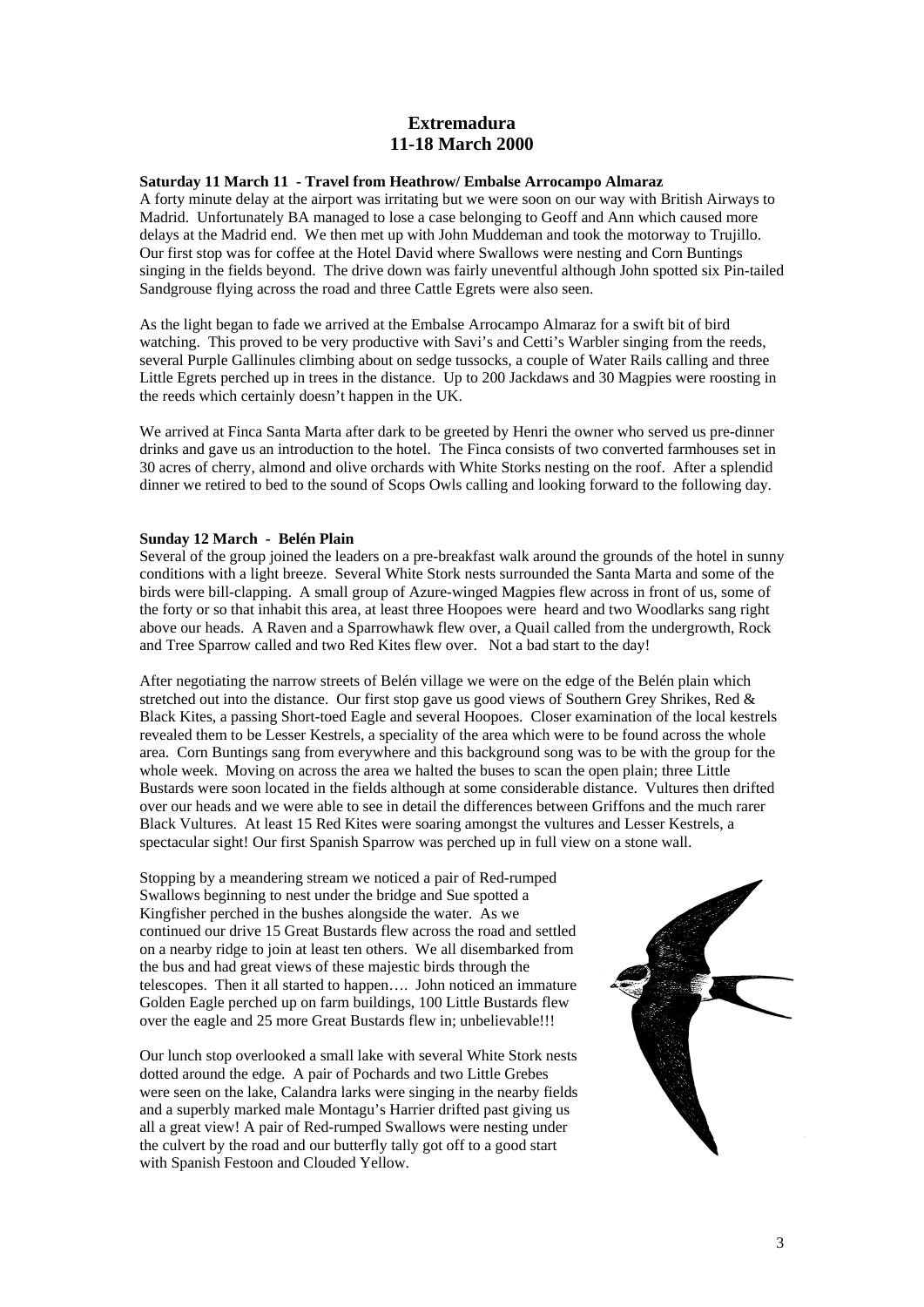# **Extremadura 11-18 March 2000**

## **Saturday 11 March 11 - Travel from Heathrow/ Embalse Arrocampo Almaraz**

A forty minute delay at the airport was irritating but we were soon on our way with British Airways to Madrid. Unfortunately BA managed to lose a case belonging to Geoff and Ann which caused more delays at the Madrid end. We then met up with John Muddeman and took the motorway to Trujillo. Our first stop was for coffee at the Hotel David where Swallows were nesting and Corn Buntings singing in the fields beyond. The drive down was fairly uneventful although John spotted six Pin-tailed Sandgrouse flying across the road and three Cattle Egrets were also seen.

As the light began to fade we arrived at the Embalse Arrocampo Almaraz for a swift bit of bird watching. This proved to be very productive with Savi's and Cetti's Warbler singing from the reeds, several Purple Gallinules climbing about on sedge tussocks, a couple of Water Rails calling and three Little Egrets perched up in trees in the distance. Up to 200 Jackdaws and 30 Magpies were roosting in the reeds which certainly doesn't happen in the UK.

We arrived at Finca Santa Marta after dark to be greeted by Henri the owner who served us pre-dinner drinks and gave us an introduction to the hotel. The Finca consists of two converted farmhouses set in 30 acres of cherry, almond and olive orchards with White Storks nesting on the roof. After a splendid dinner we retired to bed to the sound of Scops Owls calling and looking forward to the following day.

#### **Sunday 12 March - Belén Plain**

Several of the group joined the leaders on a pre-breakfast walk around the grounds of the hotel in sunny conditions with a light breeze. Several White Stork nests surrounded the Santa Marta and some of the birds were bill-clapping. A small group of Azure-winged Magpies flew across in front of us, some of the forty or so that inhabit this area, at least three Hoopoes were heard and two Woodlarks sang right above our heads. A Raven and a Sparrowhawk flew over, a Quail called from the undergrowth, Rock and Tree Sparrow called and two Red Kites flew over. Not a bad start to the day!

After negotiating the narrow streets of Belén village we were on the edge of the Belén plain which stretched out into the distance. Our first stop gave us good views of Southern Grey Shrikes, Red & Black Kites, a passing Short-toed Eagle and several Hoopoes. Closer examination of the local kestrels revealed them to be Lesser Kestrels, a speciality of the area which were to be found across the whole area. Corn Buntings sang from everywhere and this background song was to be with the group for the whole week. Moving on across the area we halted the buses to scan the open plain; three Little Bustards were soon located in the fields although at some considerable distance. Vultures then drifted over our heads and we were able to see in detail the differences between Griffons and the much rarer Black Vultures. At least 15 Red Kites were soaring amongst the vultures and Lesser Kestrels, a spectacular sight! Our first Spanish Sparrow was perched up in full view on a stone wall.

Stopping by a meandering stream we noticed a pair of Red-rumped Swallows beginning to nest under the bridge and Sue spotted a Kingfisher perched in the bushes alongside the water. As we continued our drive 15 Great Bustards flew across the road and settled on a nearby ridge to join at least ten others. We all disembarked from the bus and had great views of these majestic birds through the telescopes. Then it all started to happen…. John noticed an immature Golden Eagle perched up on farm buildings, 100 Little Bustards flew over the eagle and 25 more Great Bustards flew in; unbelievable!!!

Our lunch stop overlooked a small lake with several White Stork nests dotted around the edge. A pair of Pochards and two Little Grebes were seen on the lake, Calandra larks were singing in the nearby fields and a superbly marked male Montagu's Harrier drifted past giving us all a great view! A pair of Red-rumped Swallows were nesting under the culvert by the road and our butterfly tally got off to a good start with Spanish Festoon and Clouded Yellow.

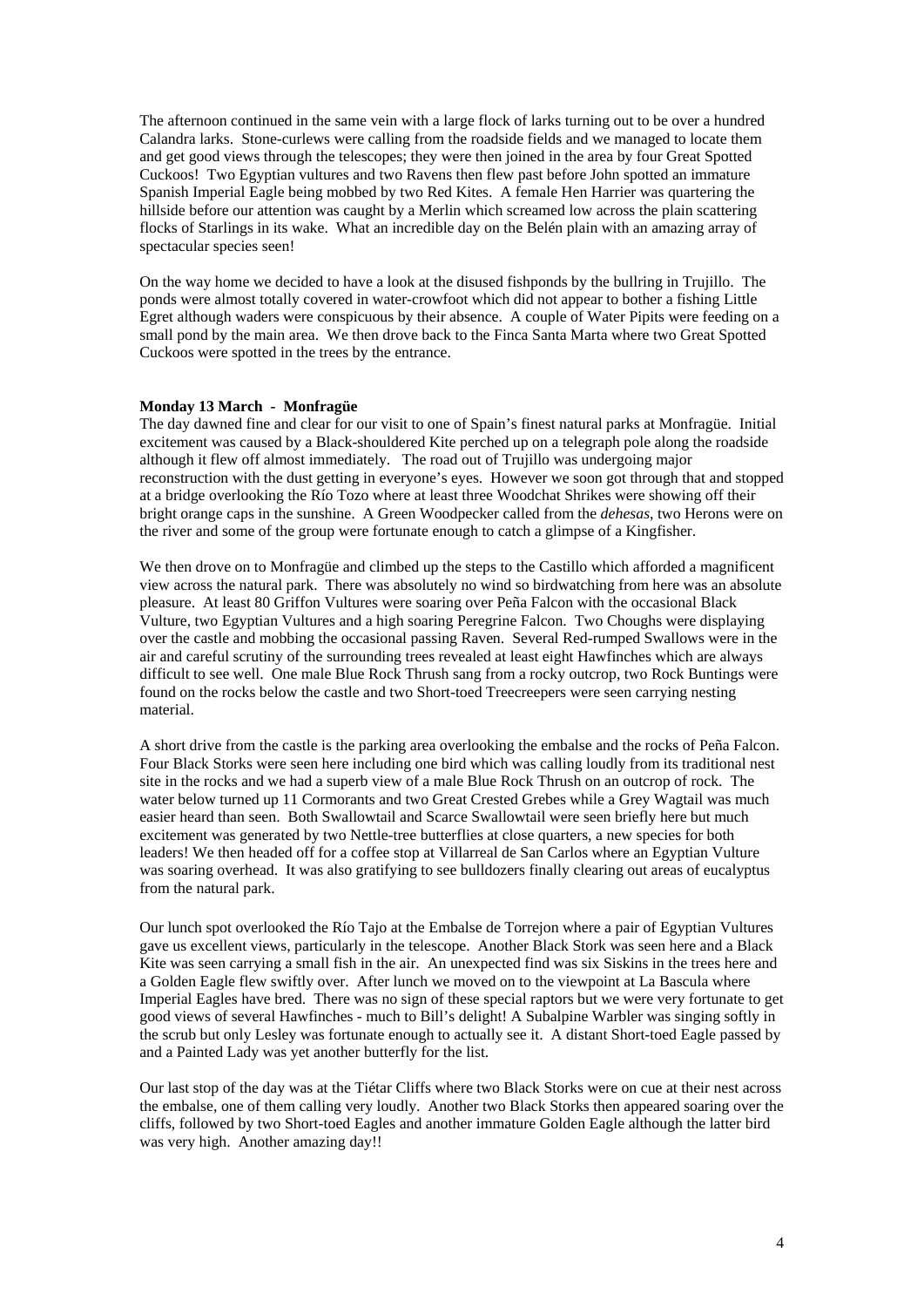The afternoon continued in the same vein with a large flock of larks turning out to be over a hundred Calandra larks. Stone-curlews were calling from the roadside fields and we managed to locate them and get good views through the telescopes; they were then joined in the area by four Great Spotted Cuckoos! Two Egyptian vultures and two Ravens then flew past before John spotted an immature Spanish Imperial Eagle being mobbed by two Red Kites. A female Hen Harrier was quartering the hillside before our attention was caught by a Merlin which screamed low across the plain scattering flocks of Starlings in its wake. What an incredible day on the Belén plain with an amazing array of spectacular species seen!

On the way home we decided to have a look at the disused fishponds by the bullring in Trujillo. The ponds were almost totally covered in water-crowfoot which did not appear to bother a fishing Little Egret although waders were conspicuous by their absence. A couple of Water Pipits were feeding on a small pond by the main area. We then drove back to the Finca Santa Marta where two Great Spotted Cuckoos were spotted in the trees by the entrance.

## **Monday 13 March - Monfragüe**

The day dawned fine and clear for our visit to one of Spain's finest natural parks at Monfragüe. Initial excitement was caused by a Black-shouldered Kite perched up on a telegraph pole along the roadside although it flew off almost immediately. The road out of Trujillo was undergoing major reconstruction with the dust getting in everyone's eyes. However we soon got through that and stopped at a bridge overlooking the Río Tozo where at least three Woodchat Shrikes were showing off their bright orange caps in the sunshine. A Green Woodpecker called from the *dehesas*, two Herons were on the river and some of the group were fortunate enough to catch a glimpse of a Kingfisher.

We then drove on to Monfragüe and climbed up the steps to the Castillo which afforded a magnificent view across the natural park. There was absolutely no wind so birdwatching from here was an absolute pleasure. At least 80 Griffon Vultures were soaring over Peña Falcon with the occasional Black Vulture, two Egyptian Vultures and a high soaring Peregrine Falcon. Two Choughs were displaying over the castle and mobbing the occasional passing Raven. Several Red-rumped Swallows were in the air and careful scrutiny of the surrounding trees revealed at least eight Hawfinches which are always difficult to see well. One male Blue Rock Thrush sang from a rocky outcrop, two Rock Buntings were found on the rocks below the castle and two Short-toed Treecreepers were seen carrying nesting material.

A short drive from the castle is the parking area overlooking the embalse and the rocks of Peña Falcon. Four Black Storks were seen here including one bird which was calling loudly from its traditional nest site in the rocks and we had a superb view of a male Blue Rock Thrush on an outcrop of rock. The water below turned up 11 Cormorants and two Great Crested Grebes while a Grey Wagtail was much easier heard than seen. Both Swallowtail and Scarce Swallowtail were seen briefly here but much excitement was generated by two Nettle-tree butterflies at close quarters, a new species for both leaders! We then headed off for a coffee stop at Villarreal de San Carlos where an Egyptian Vulture was soaring overhead. It was also gratifying to see bulldozers finally clearing out areas of eucalyptus from the natural park.

Our lunch spot overlooked the Río Tajo at the Embalse de Torrejon where a pair of Egyptian Vultures gave us excellent views, particularly in the telescope. Another Black Stork was seen here and a Black Kite was seen carrying a small fish in the air. An unexpected find was six Siskins in the trees here and a Golden Eagle flew swiftly over. After lunch we moved on to the viewpoint at La Bascula where Imperial Eagles have bred. There was no sign of these special raptors but we were very fortunate to get good views of several Hawfinches - much to Bill's delight! A Subalpine Warbler was singing softly in the scrub but only Lesley was fortunate enough to actually see it. A distant Short-toed Eagle passed by and a Painted Lady was yet another butterfly for the list.

Our last stop of the day was at the Tiétar Cliffs where two Black Storks were on cue at their nest across the embalse, one of them calling very loudly. Another two Black Storks then appeared soaring over the cliffs, followed by two Short-toed Eagles and another immature Golden Eagle although the latter bird was very high. Another amazing day!!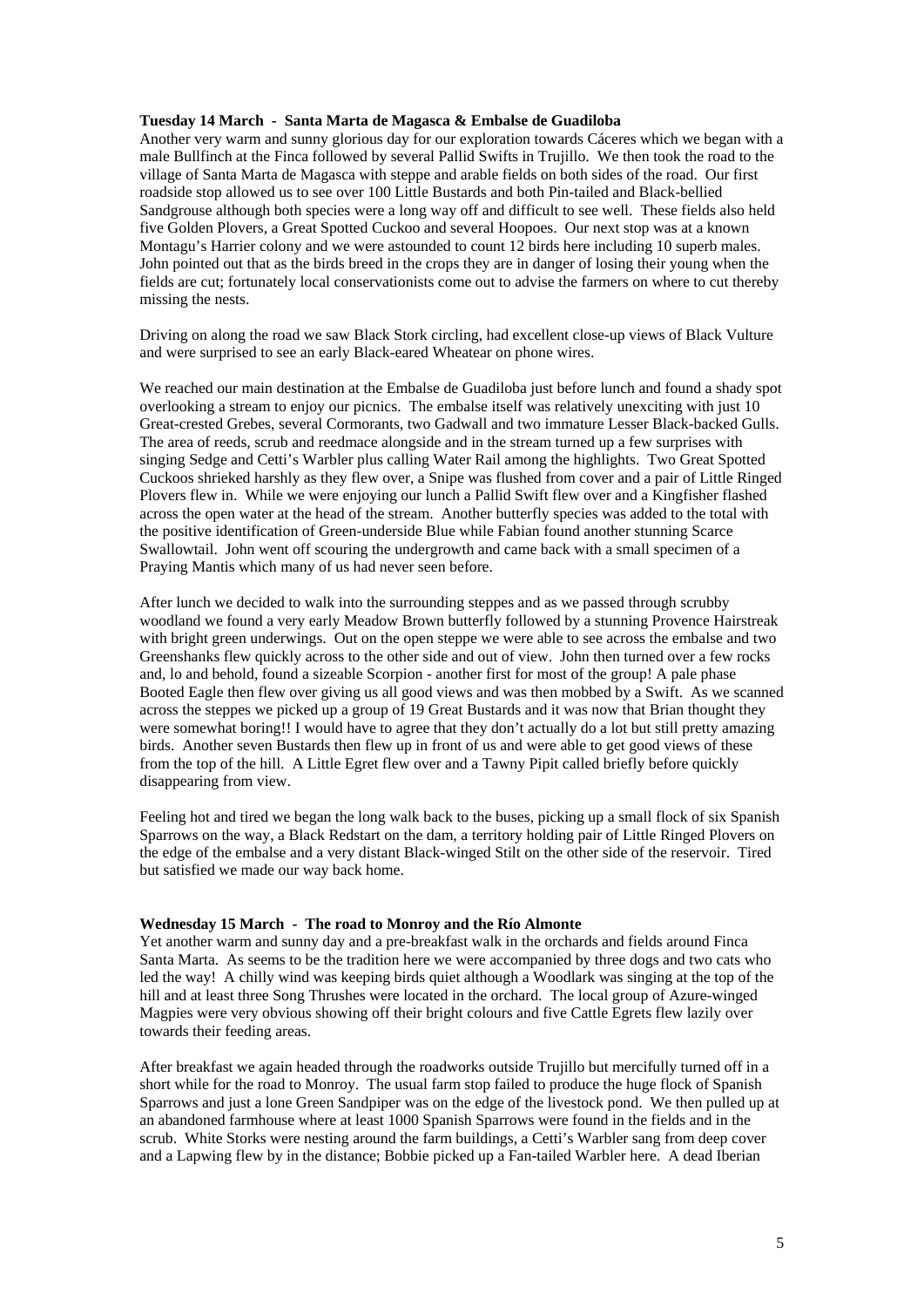### **Tuesday 14 March - Santa Marta de Magasca & Embalse de Guadiloba**

Another very warm and sunny glorious day for our exploration towards Cáceres which we began with a male Bullfinch at the Finca followed by several Pallid Swifts in Trujillo. We then took the road to the village of Santa Marta de Magasca with steppe and arable fields on both sides of the road. Our first roadside stop allowed us to see over 100 Little Bustards and both Pin-tailed and Black-bellied Sandgrouse although both species were a long way off and difficult to see well. These fields also held five Golden Plovers, a Great Spotted Cuckoo and several Hoopoes. Our next stop was at a known Montagu's Harrier colony and we were astounded to count 12 birds here including 10 superb males. John pointed out that as the birds breed in the crops they are in danger of losing their young when the fields are cut; fortunately local conservationists come out to advise the farmers on where to cut thereby missing the nests.

Driving on along the road we saw Black Stork circling, had excellent close-up views of Black Vulture and were surprised to see an early Black-eared Wheatear on phone wires.

We reached our main destination at the Embalse de Guadiloba just before lunch and found a shady spot overlooking a stream to enjoy our picnics. The embalse itself was relatively unexciting with just 10 Great-crested Grebes, several Cormorants, two Gadwall and two immature Lesser Black-backed Gulls. The area of reeds, scrub and reedmace alongside and in the stream turned up a few surprises with singing Sedge and Cetti's Warbler plus calling Water Rail among the highlights. Two Great Spotted Cuckoos shrieked harshly as they flew over, a Snipe was flushed from cover and a pair of Little Ringed Plovers flew in. While we were enjoying our lunch a Pallid Swift flew over and a Kingfisher flashed across the open water at the head of the stream. Another butterfly species was added to the total with the positive identification of Green-underside Blue while Fabian found another stunning Scarce Swallowtail. John went off scouring the undergrowth and came back with a small specimen of a Praying Mantis which many of us had never seen before.

After lunch we decided to walk into the surrounding steppes and as we passed through scrubby woodland we found a very early Meadow Brown butterfly followed by a stunning Provence Hairstreak with bright green underwings. Out on the open steppe we were able to see across the embalse and two Greenshanks flew quickly across to the other side and out of view. John then turned over a few rocks and, lo and behold, found a sizeable Scorpion - another first for most of the group! A pale phase Booted Eagle then flew over giving us all good views and was then mobbed by a Swift. As we scanned across the steppes we picked up a group of 19 Great Bustards and it was now that Brian thought they were somewhat boring!! I would have to agree that they don't actually do a lot but still pretty amazing birds. Another seven Bustards then flew up in front of us and were able to get good views of these from the top of the hill. A Little Egret flew over and a Tawny Pipit called briefly before quickly disappearing from view.

Feeling hot and tired we began the long walk back to the buses, picking up a small flock of six Spanish Sparrows on the way, a Black Redstart on the dam, a territory holding pair of Little Ringed Plovers on the edge of the embalse and a very distant Black-winged Stilt on the other side of the reservoir. Tired but satisfied we made our way back home.

#### **Wednesday 15 March - The road to Monroy and the Río Almonte**

Yet another warm and sunny day and a pre-breakfast walk in the orchards and fields around Finca Santa Marta. As seems to be the tradition here we were accompanied by three dogs and two cats who led the way! A chilly wind was keeping birds quiet although a Woodlark was singing at the top of the hill and at least three Song Thrushes were located in the orchard. The local group of Azure-winged Magpies were very obvious showing off their bright colours and five Cattle Egrets flew lazily over towards their feeding areas.

After breakfast we again headed through the roadworks outside Trujillo but mercifully turned off in a short while for the road to Monroy. The usual farm stop failed to produce the huge flock of Spanish Sparrows and just a lone Green Sandpiper was on the edge of the livestock pond. We then pulled up at an abandoned farmhouse where at least 1000 Spanish Sparrows were found in the fields and in the scrub. White Storks were nesting around the farm buildings, a Cetti's Warbler sang from deep cover and a Lapwing flew by in the distance; Bobbie picked up a Fan-tailed Warbler here. A dead Iberian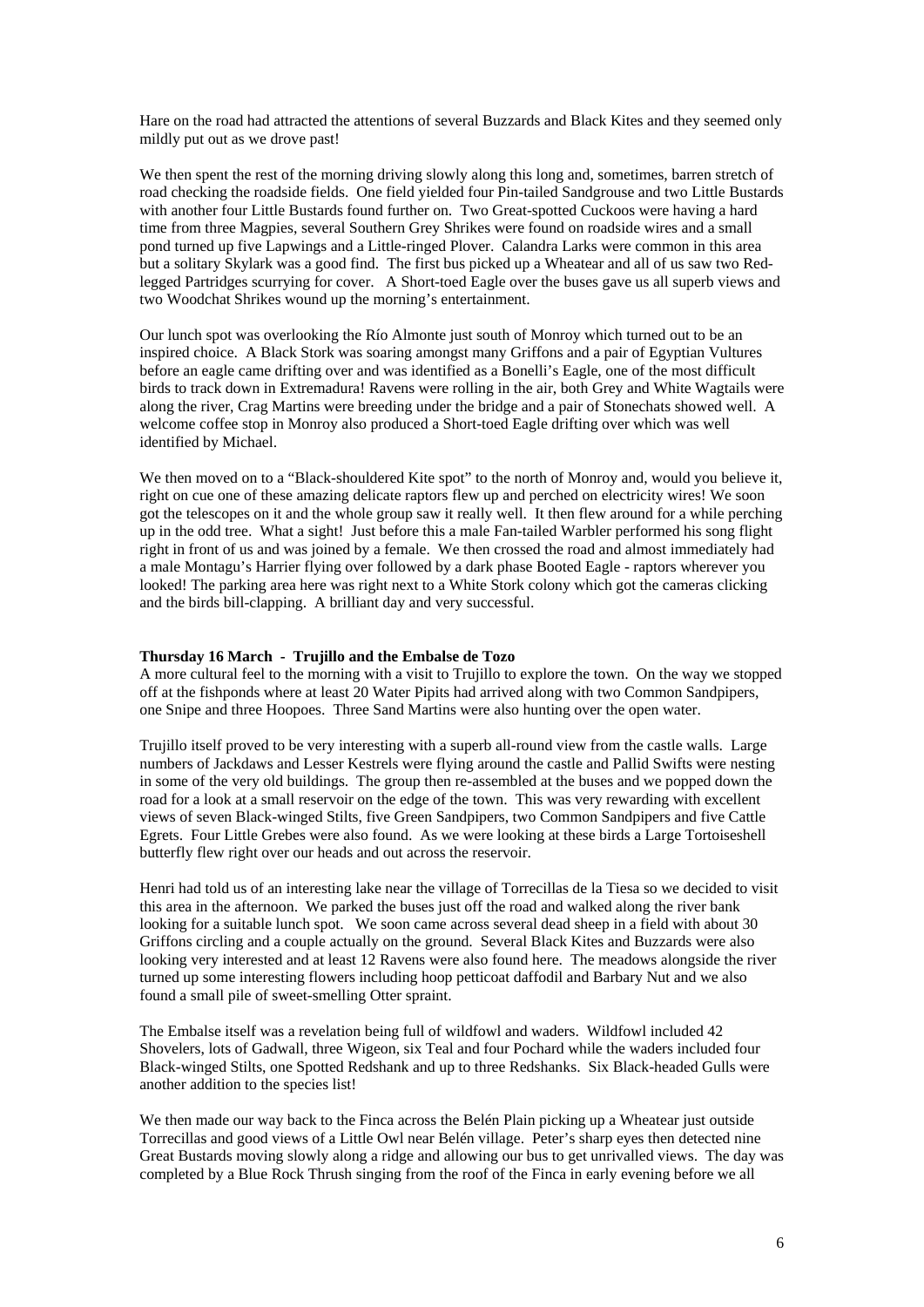Hare on the road had attracted the attentions of several Buzzards and Black Kites and they seemed only mildly put out as we drove past!

We then spent the rest of the morning driving slowly along this long and, sometimes, barren stretch of road checking the roadside fields. One field yielded four Pin-tailed Sandgrouse and two Little Bustards with another four Little Bustards found further on. Two Great-spotted Cuckoos were having a hard time from three Magpies, several Southern Grey Shrikes were found on roadside wires and a small pond turned up five Lapwings and a Little-ringed Plover. Calandra Larks were common in this area but a solitary Skylark was a good find. The first bus picked up a Wheatear and all of us saw two Redlegged Partridges scurrying for cover. A Short-toed Eagle over the buses gave us all superb views and two Woodchat Shrikes wound up the morning's entertainment.

Our lunch spot was overlooking the Río Almonte just south of Monroy which turned out to be an inspired choice. A Black Stork was soaring amongst many Griffons and a pair of Egyptian Vultures before an eagle came drifting over and was identified as a Bonelli's Eagle, one of the most difficult birds to track down in Extremadura! Ravens were rolling in the air, both Grey and White Wagtails were along the river, Crag Martins were breeding under the bridge and a pair of Stonechats showed well. A welcome coffee stop in Monroy also produced a Short-toed Eagle drifting over which was well identified by Michael.

We then moved on to a "Black-shouldered Kite spot" to the north of Monroy and, would you believe it, right on cue one of these amazing delicate raptors flew up and perched on electricity wires! We soon got the telescopes on it and the whole group saw it really well. It then flew around for a while perching up in the odd tree. What a sight! Just before this a male Fan-tailed Warbler performed his song flight right in front of us and was joined by a female. We then crossed the road and almost immediately had a male Montagu's Harrier flying over followed by a dark phase Booted Eagle - raptors wherever you looked! The parking area here was right next to a White Stork colony which got the cameras clicking and the birds bill-clapping. A brilliant day and very successful.

### **Thursday 16 March - Trujillo and the Embalse de Tozo**

A more cultural feel to the morning with a visit to Trujillo to explore the town. On the way we stopped off at the fishponds where at least 20 Water Pipits had arrived along with two Common Sandpipers, one Snipe and three Hoopoes. Three Sand Martins were also hunting over the open water.

Trujillo itself proved to be very interesting with a superb all-round view from the castle walls. Large numbers of Jackdaws and Lesser Kestrels were flying around the castle and Pallid Swifts were nesting in some of the very old buildings. The group then re-assembled at the buses and we popped down the road for a look at a small reservoir on the edge of the town. This was very rewarding with excellent views of seven Black-winged Stilts, five Green Sandpipers, two Common Sandpipers and five Cattle Egrets. Four Little Grebes were also found. As we were looking at these birds a Large Tortoiseshell butterfly flew right over our heads and out across the reservoir.

Henri had told us of an interesting lake near the village of Torrecillas de la Tiesa so we decided to visit this area in the afternoon. We parked the buses just off the road and walked along the river bank looking for a suitable lunch spot. We soon came across several dead sheep in a field with about 30 Griffons circling and a couple actually on the ground. Several Black Kites and Buzzards were also looking very interested and at least 12 Ravens were also found here. The meadows alongside the river turned up some interesting flowers including hoop petticoat daffodil and Barbary Nut and we also found a small pile of sweet-smelling Otter spraint.

The Embalse itself was a revelation being full of wildfowl and waders. Wildfowl included 42 Shovelers, lots of Gadwall, three Wigeon, six Teal and four Pochard while the waders included four Black-winged Stilts, one Spotted Redshank and up to three Redshanks. Six Black-headed Gulls were another addition to the species list!

We then made our way back to the Finca across the Belén Plain picking up a Wheatear just outside Torrecillas and good views of a Little Owl near Belén village. Peter's sharp eyes then detected nine Great Bustards moving slowly along a ridge and allowing our bus to get unrivalled views. The day was completed by a Blue Rock Thrush singing from the roof of the Finca in early evening before we all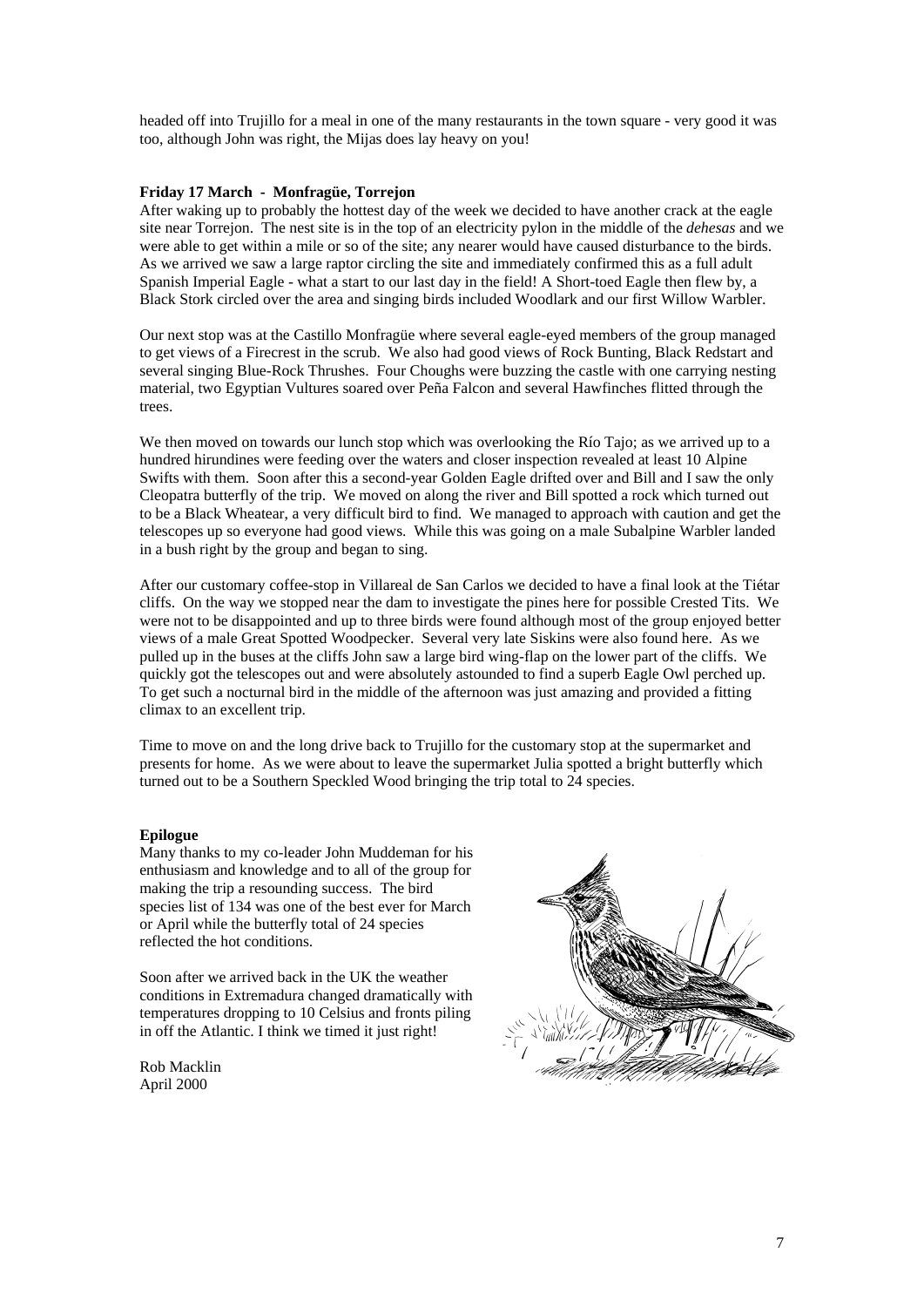headed off into Trujillo for a meal in one of the many restaurants in the town square - very good it was too, although John was right, the Mijas does lay heavy on you!

## **Friday 17 March - Monfragüe, Torrejon**

After waking up to probably the hottest day of the week we decided to have another crack at the eagle site near Torrejon. The nest site is in the top of an electricity pylon in the middle of the *dehesas* and we were able to get within a mile or so of the site; any nearer would have caused disturbance to the birds. As we arrived we saw a large raptor circling the site and immediately confirmed this as a full adult Spanish Imperial Eagle - what a start to our last day in the field! A Short-toed Eagle then flew by, a Black Stork circled over the area and singing birds included Woodlark and our first Willow Warbler.

Our next stop was at the Castillo Monfragüe where several eagle-eyed members of the group managed to get views of a Firecrest in the scrub. We also had good views of Rock Bunting, Black Redstart and several singing Blue-Rock Thrushes. Four Choughs were buzzing the castle with one carrying nesting material, two Egyptian Vultures soared over Peña Falcon and several Hawfinches flitted through the trees.

We then moved on towards our lunch stop which was overlooking the Río Tajo; as we arrived up to a hundred hirundines were feeding over the waters and closer inspection revealed at least 10 Alpine Swifts with them. Soon after this a second-year Golden Eagle drifted over and Bill and I saw the only Cleopatra butterfly of the trip. We moved on along the river and Bill spotted a rock which turned out to be a Black Wheatear, a very difficult bird to find. We managed to approach with caution and get the telescopes up so everyone had good views. While this was going on a male Subalpine Warbler landed in a bush right by the group and began to sing.

After our customary coffee-stop in Villareal de San Carlos we decided to have a final look at the Tiétar cliffs. On the way we stopped near the dam to investigate the pines here for possible Crested Tits. We were not to be disappointed and up to three birds were found although most of the group enjoyed better views of a male Great Spotted Woodpecker. Several very late Siskins were also found here. As we pulled up in the buses at the cliffs John saw a large bird wing-flap on the lower part of the cliffs. We quickly got the telescopes out and were absolutely astounded to find a superb Eagle Owl perched up. To get such a nocturnal bird in the middle of the afternoon was just amazing and provided a fitting climax to an excellent trip.

Time to move on and the long drive back to Trujillo for the customary stop at the supermarket and presents for home. As we were about to leave the supermarket Julia spotted a bright butterfly which turned out to be a Southern Speckled Wood bringing the trip total to 24 species.

#### **Epilogue**

Many thanks to my co-leader John Muddeman for his enthusiasm and knowledge and to all of the group for making the trip a resounding success. The bird species list of 134 was one of the best ever for March or April while the butterfly total of 24 species reflected the hot conditions.

Soon after we arrived back in the UK the weather conditions in Extremadura changed dramatically with temperatures dropping to 10 Celsius and fronts piling in off the Atlantic. I think we timed it just right!

Rob Macklin April 2000

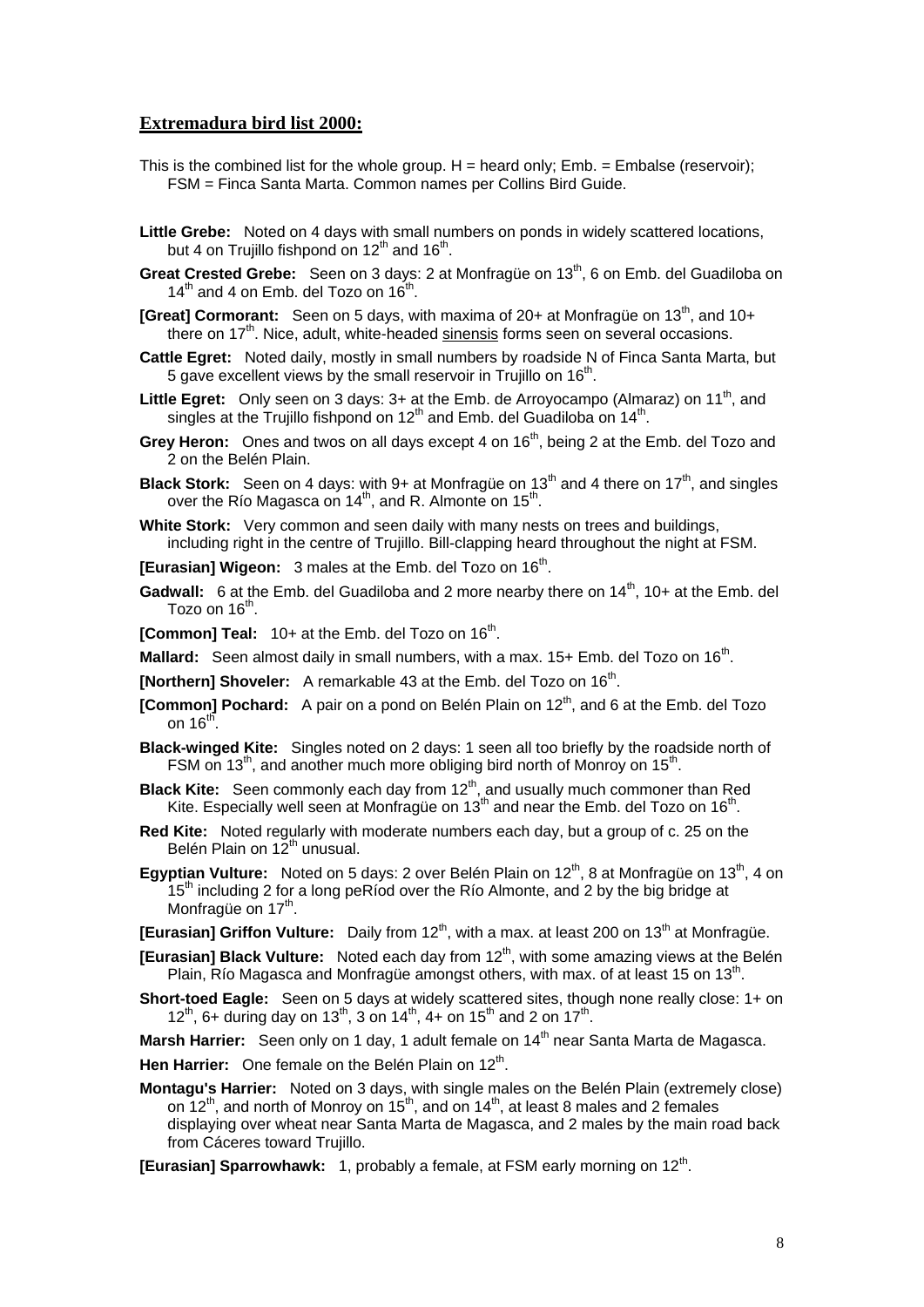## **Extremadura bird list 2000:**

- This is the combined list for the whole group.  $H =$  heard only: Emb.  $=$  Embalse (reservoir); FSM = Finca Santa Marta. Common names per Collins Bird Guide.
- **Little Grebe:** Noted on 4 days with small numbers on ponds in widely scattered locations, but 4 on Trujillo fishpond on  $12<sup>th</sup>$  and  $16<sup>th</sup>$ .
- Great Crested Grebe: Seen on 3 days: 2 at Monfragüe on 13<sup>th</sup>, 6 on Emb. del Guadiloba on  $14<sup>th</sup>$  and 4 on Emb. del Tozo on  $16<sup>th</sup>$ .
- **[Great] Cormorant:** Seen on 5 days, with maxima of 20+ at Monfrague on 13<sup>th</sup>, and 10+ there on 17<sup>th</sup>, Nice, adult, white-headed sinensis forms seen on several occasions.
- **Cattle Egret:** Noted daily, mostly in small numbers by roadside N of Finca Santa Marta, but 5 gave excellent views by the small reservoir in Trujillo on 16<sup>th</sup>.
- Little Egret: Only seen on 3 days: 3+ at the Emb. de Arroyocampo (Almaraz) on 11<sup>th</sup>, and singles at the Trujillo fishpond on 12<sup>th</sup> and Emb. del Guadiloba on 14<sup>th</sup>.
- **Grey Heron:** Ones and twos on all days except 4 on 16<sup>th</sup>, being 2 at the Emb. del Tozo and 2 on the Belén Plain.
- **Black Stork:** Seen on 4 days: with 9+ at Monfragüe on 13<sup>th</sup> and 4 there on 17<sup>th</sup>, and singles over the Río Magasca on  $14<sup>th</sup>$ , and R. Almonte on  $15<sup>th</sup>$ .
- White Stork: Very common and seen daily with many nests on trees and buildings, including right in the centre of Trujillo. Bill-clapping heard throughout the night at FSM.

**[Eurasian] Wigeon:** 3 males at the Emb. del Tozo on 16<sup>th</sup>.

- Gadwall: 6 at the Emb. del Guadiloba and 2 more nearby there on 14<sup>th</sup>, 10+ at the Emb. del Tozo on  $16<sup>th</sup>$ .
- **[Common] Teal:** 10+ at the Emb. del Tozo on 16<sup>th</sup>.
- **Mallard:** Seen almost daily in small numbers, with a max. 15+ Emb. del Tozo on 16<sup>th</sup>.
- **[Northern] Shoveler:** A remarkable 43 at the Emb. del Tozo on 16<sup>th</sup>.
- **[Common] Pochard:** A pair on a pond on Belén Plain on 12<sup>th</sup>, and 6 at the Emb. del Tozo on  $16<sup>th</sup>$ .
- **Black-winged Kite:** Singles noted on 2 days: 1 seen all too briefly by the roadside north of FSM on 13<sup>th</sup>, and another much more obliging bird north of Monroy on 15<sup>th</sup>.
- **Black Kite:** Seen commonly each day from 12<sup>th</sup>, and usually much commoner than Red Kite. Especially well seen at Monfragüe on  $13<sup>th</sup>$  and near the Emb. del Tozo on  $16<sup>th</sup>$ .
- **Red Kite:** Noted regularly with moderate numbers each day, but a group of c. 25 on the Belén Plain on 12<sup>th</sup> unusual.
- **Egyptian Vulture:** Noted on 5 days: 2 over Belén Plain on 12<sup>th</sup>, 8 at Monfragüe on 13<sup>th</sup>, 4 on  $15<sup>th</sup>$  including 2 for a long peRiod over the Rio Almonte, and 2 by the big bridge at Monfragüe on 17<sup>th</sup>.
- **[Eurasian] Griffon Vulture:** Daily from 12<sup>th</sup>, with a max. at least 200 on 13<sup>th</sup> at Monfragüe.
- **[Eurasian] Black Vulture:** Noted each day from 12<sup>th</sup>, with some amazing views at the Belén Plain, Río Magasca and Monfragüe amongst others, with max. of at least 15 on 13<sup>th</sup>.
- **Short-toed Eagle:** Seen on 5 days at widely scattered sites, though none really close: 1+ on 12<sup>th</sup>, 6+ during day on 13<sup>th</sup>, 3 on 14<sup>th</sup>, 4+ on 15<sup>th</sup> and 2 on 17<sup>th</sup>.

Marsh Harrier: Seen only on 1 day, 1 adult female on 14<sup>th</sup> near Santa Marta de Magasca.

- Hen Harrier: One female on the Belén Plain on 12<sup>th</sup>.
- **Montagu's Harrier:** Noted on 3 days, with single males on the Belén Plain (extremely close) on  $12^{th}$ , and north of Monroy on  $15^{th}$ , and on  $14^{th}$ , at least 8 males and 2 females displaying over wheat near Santa Marta de Magasca, and 2 males by the main road back from Cáceres toward Trujillo.
- **[Eurasian] Sparrowhawk:** 1, probably a female, at FSM early morning on 12<sup>th</sup>.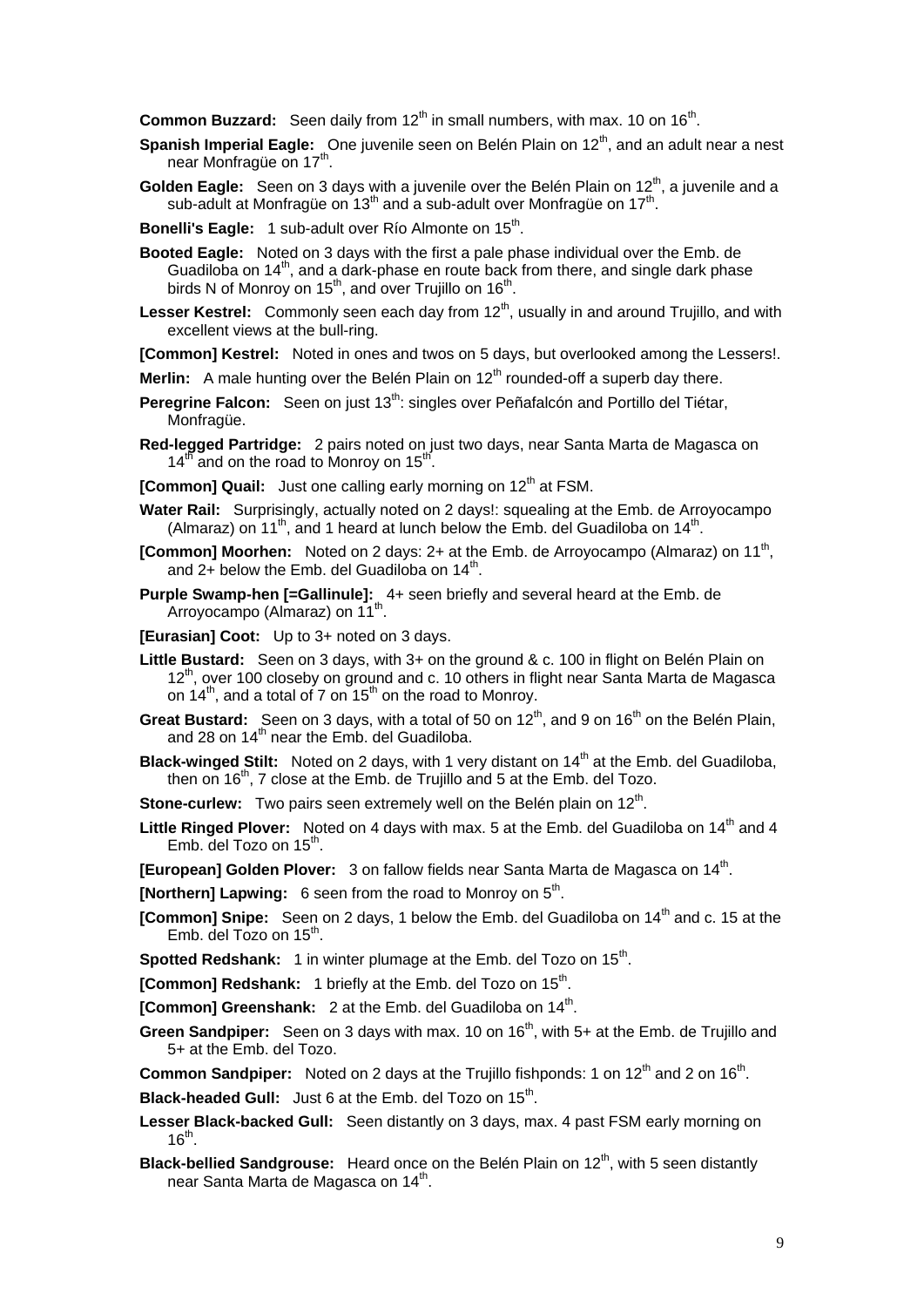**Common Buzzard:** Seen daily from 12<sup>th</sup> in small numbers, with max. 10 on 16<sup>th</sup>.

- **Spanish Imperial Eagle:** One juvenile seen on Belén Plain on 12<sup>th</sup>, and an adult near a nest near Monfragüe on 17<sup>th</sup>.
- **Golden Eagle:** Seen on 3 days with a juvenile over the Belén Plain on 12<sup>th</sup>, a juvenile and a sub-adult at Monfrague on  $13<sup>th</sup>$  and a sub-adult over Monfrague on  $17<sup>th</sup>$ .
- **Bonelli's Eagle:** 1 sub-adult over Río Almonte on 15<sup>th</sup>.
- **Booted Eagle:** Noted on 3 days with the first a pale phase individual over the Emb. de Guadiloba on 14<sup>th</sup>, and a dark-phase en route back from there, and single dark phase birds N of Monroy on  $15<sup>th</sup>$ , and over Trujillo on  $16<sup>th</sup>$ .
- Lesser Kestrel: Commonly seen each day from 12<sup>th</sup>, usually in and around Trujillo, and with excellent views at the bull-ring.

**[Common] Kestrel:** Noted in ones and twos on 5 days, but overlooked among the Lessers!.

- **Merlin:** A male hunting over the Belén Plain on 12<sup>th</sup> rounded-off a superb day there.
- **Peregrine Falcon:** Seen on just 13<sup>th</sup>: singles over Peñafalcón and Portillo del Tiétar, Monfragüe.
- **Red-legged Partridge:** 2 pairs noted on just two days, near Santa Marta de Magasca on  $14^{t}$  and on the road to Monroy on  $15^{t}$ .
- **[Common] Quail:** Just one calling early morning on 12<sup>th</sup> at FSM.
- **Water Rail:** Surprisingly, actually noted on 2 days!: squealing at the Emb. de Arroyocampo (Almaraz) on 11<sup>th</sup>, and 1 heard at lunch below the Emb. del Guadiloba on 14<sup>th</sup>.
- **[Common] Moorhen:** Noted on 2 days: 2+ at the Emb. de Arroyocampo (Almaraz) on 11<sup>th</sup>, and 2+ below the Emb. del Guadiloba on  $14<sup>th</sup>$ .
- **Purple Swamp-hen [=Gallinule]:** 4+ seen briefly and several heard at the Emb. de .<br>Arroyocampo (Almaraz) on 11<sup>th</sup>.
- **[Eurasian] Coot:** Up to 3+ noted on 3 days.
- **Little Bustard:** Seen on 3 days, with 3+ on the ground & c. 100 in flight on Belén Plain on 12<sup>th</sup>, over 100 closeby on ground and c. 10 others in flight near Santa Marta de Magasca on  $14^{th}$ , and a total of 7 on  $15^{th}$  on the road to Monroy.
- **Great Bustard:** Seen on 3 days, with a total of 50 on 12<sup>th</sup>, and 9 on 16<sup>th</sup> on the Belén Plain. and 28 on  $14<sup>th</sup>$  near the Emb. del Guadiloba.
- **Black-winged Stilt:** Noted on 2 days, with 1 very distant on 14<sup>th</sup> at the Emb. del Guadiloba, then on 16th, 7 close at the Emb. de Trujillo and 5 at the Emb. del Tozo.
- **Stone-curlew:** Two pairs seen extremely well on the Belén plain on 12<sup>th</sup>.
- **Little Ringed Plover:** Noted on 4 days with max. 5 at the Emb. del Guadiloba on 14<sup>th</sup> and 4 Emb. del Tozo on  $15<sup>th</sup>$ .
- **[European] Golden Plover:** 3 on fallow fields near Santa Marta de Magasca on 14<sup>th</sup>.

**[Northern] Lapwing:** 6 seen from the road to Monroy on 5<sup>th</sup>.

- **[Common] Snipe:** Seen on 2 days, 1 below the Emb. del Guadiloba on 14<sup>th</sup> and c. 15 at the Emb. del Tozo on 15<sup>th</sup>.
- **Spotted Redshank:** 1 in winter plumage at the Emb. del Tozo on 15<sup>th</sup>.
- **[Common] Redshank:** 1 briefly at the Emb. del Tozo on 15<sup>th</sup>.
- **[Common] Greenshank:** 2 at the Emb. del Guadiloba on 14<sup>th</sup>.
- **Green Sandpiper:** Seen on 3 days with max. 10 on 16<sup>th</sup>, with 5+ at the Emb. de Trujillo and 5+ at the Emb. del Tozo.

**Common Sandpiper:** Noted on 2 days at the Trujillo fishponds: 1 on 12<sup>th</sup> and 2 on 16<sup>th</sup>.

**Black-headed Gull:** Just 6 at the Emb. del Tozo on 15<sup>th</sup>.

- **Lesser Black-backed Gull:** Seen distantly on 3 days, max. 4 past FSM early morning on  $16^{th}$ .
- **Black-bellied Sandgrouse:** Heard once on the Belén Plain on 12<sup>th</sup>, with 5 seen distantly near Santa Marta de Magasca on 14<sup>th</sup>.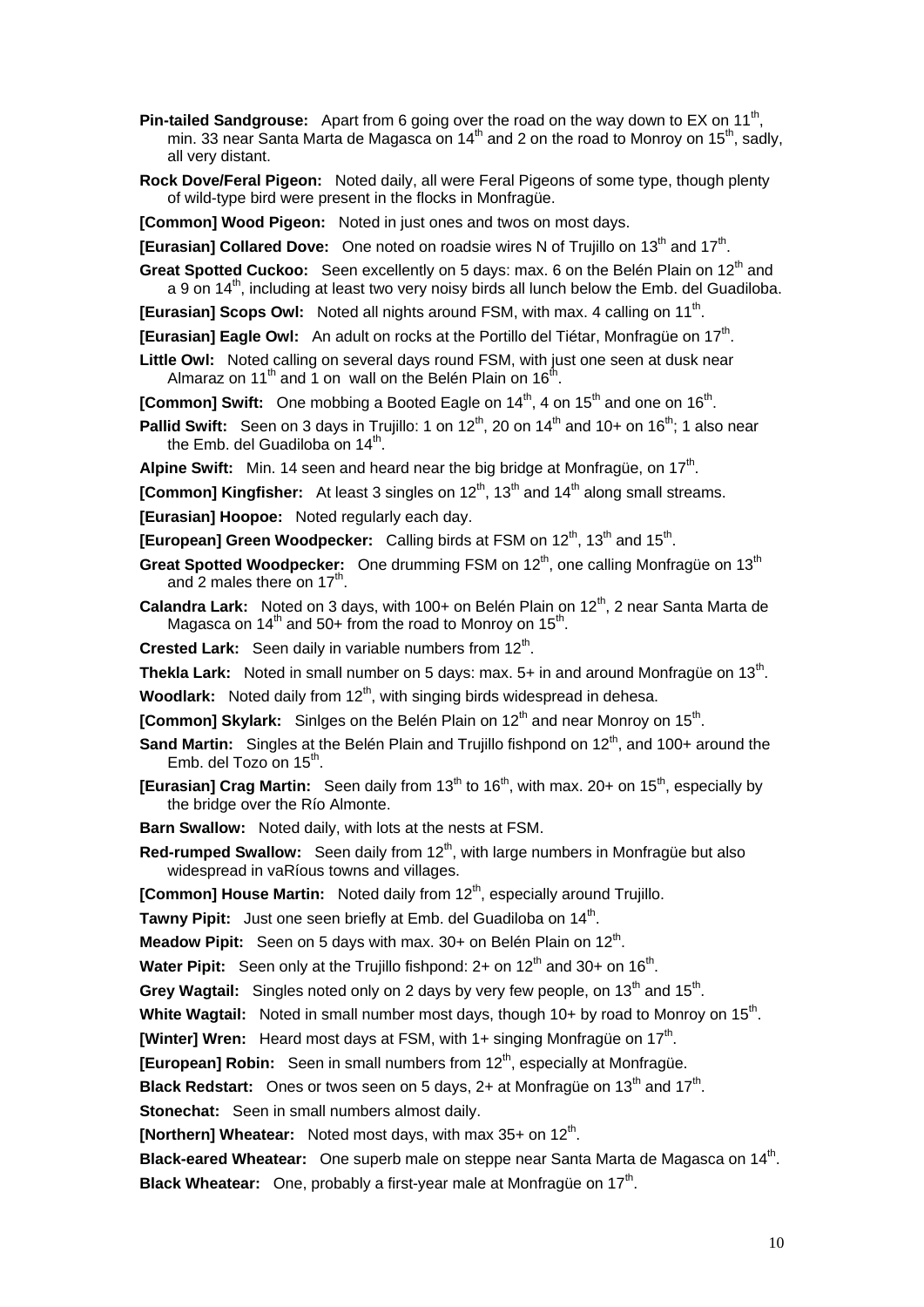**Pin-tailed Sandgrouse:** Apart from 6 going over the road on the way down to EX on 11<sup>th</sup>, min. 33 near Santa Marta de Magasca on  $14<sup>th</sup>$  and 2 on the road to Monroy on  $15<sup>th</sup>$ , sadly, all very distant.

**Rock Dove/Feral Pigeon:** Noted daily, all were Feral Pigeons of some type, though plenty of wild-type bird were present in the flocks in Monfragüe.

**[Common] Wood Pigeon:** Noted in just ones and twos on most days.

**[Eurasian] Collared Dove:** One noted on roadsie wires N of Truillo on 13<sup>th</sup> and 17<sup>th</sup>.

**Great Spotted Cuckoo:** Seen excellently on 5 days: max. 6 on the Belén Plain on 12<sup>th</sup> and a 9 on  $14<sup>th</sup>$ , including at least two very noisy birds all lunch below the Emb. del Guadiloba.

**[Eurasian] Scops Owl:** Noted all nights around FSM, with max. 4 calling on 11<sup>th</sup>.

**[Eurasian] Eagle Owl:** An adult on rocks at the Portillo del Tiétar, Monfragüe on 17<sup>th</sup>.

**Little Owl:** Noted calling on several days round FSM, with just one seen at dusk near Almaraz on 11<sup>th</sup> and 1 on wall on the Belén Plain on 16<sup>th</sup>.

**[Common] Swift:** One mobbing a Booted Eagle on 14<sup>th</sup>, 4 on 15<sup>th</sup> and one on 16<sup>th</sup>.

**Pallid Swift:** Seen on 3 days in Trujillo: 1 on 12<sup>th</sup>, 20 on 14<sup>th</sup> and 10+ on 16<sup>th</sup>; 1 also near the Emb. del Guadiloba on  $14<sup>th</sup>$ .

**Alpine Swift:** Min. 14 seen and heard near the big bridge at Monfrague, on 17<sup>th</sup>.

**[Common] Kingfisher:** At least 3 singles on 12<sup>th</sup>, 13<sup>th</sup> and 14<sup>th</sup> along small streams.

**[Eurasian] Hoopoe:** Noted regularly each day.

**[European] Green Woodpecker:** Calling birds at FSM on 12<sup>th</sup>, 13<sup>th</sup> and 15<sup>th</sup>.

- **Great Spotted Woodpecker:** One drumming FSM on 12<sup>th</sup>, one calling Monfragüe on 13<sup>th</sup> and 2 males there on  $17<sup>th</sup>$ .
- Calandra Lark: Noted on 3 days, with 100+ on Belén Plain on 12<sup>th</sup>, 2 near Santa Marta de Magasca on  $14<sup>th</sup>$  and 50+ from the road to Monroy on 15<sup>th</sup>.

**Crested Lark:** Seen daily in variable numbers from 12<sup>th</sup>.

**Thekla Lark:** Noted in small number on 5 days: max. 5+ in and around Monfrague on 13<sup>th</sup>.

**Woodlark:** Noted daily from 12<sup>th</sup>, with singing birds widespread in dehesa.

- **[Common] Skylark:** Sinlges on the Belén Plain on 12<sup>th</sup> and near Monroy on 15<sup>th</sup>.
- **Sand Martin:** Singles at the Belén Plain and Trujillo fishpond on 12<sup>th</sup>, and 100+ around the Emb. del Tozo on  $15<sup>th</sup>$ .
- **[Eurasian] Crag Martin:** Seen daily from 13<sup>th</sup> to 16<sup>th</sup>, with max. 20+ on 15<sup>th</sup>, especially by the bridge over the Río Almonte.
- **Barn Swallow:** Noted daily, with lots at the nests at FSM.
- **Red-rumped Swallow:** Seen daily from 12<sup>th</sup>, with large numbers in Monfragüe but also widespread in vaRíous towns and villages.

**[Common] House Martin:** Noted daily from 12<sup>th</sup>, especially around Trujillo.

**Tawny Pipit:** Just one seen briefly at Emb. del Guadiloba on 14<sup>th</sup>.

**Meadow Pipit:** Seen on 5 days with max. 30+ on Belén Plain on 12<sup>th</sup>.

**Water Pipit:** Seen only at the Trujillo fishpond: 2+ on 12<sup>th</sup> and 30+ on 16<sup>th</sup>.

**Grey Wagtail:** Singles noted only on 2 days by very few people, on 13<sup>th</sup> and 15<sup>th</sup>.

**White Wagtail:** Noted in small number most days, though 10+ by road to Monroy on 15<sup>th</sup>.

**[Winter] Wren:** Heard most days at FSM, with 1+ singing Monfragüe on 17<sup>th</sup>.

**[European] Robin:** Seen in small numbers from 12<sup>th</sup>, especially at Monfragüe.

**Black Redstart:** Ones or twos seen on 5 days, 2+ at Monfragüe on 13<sup>th</sup> and 17<sup>th</sup>.

**Stonechat:** Seen in small numbers almost daily.

**[Northern] Wheatear:** Noted most days, with max 35+ on 12<sup>th</sup>.

**Black-eared Wheatear:** One superb male on steppe near Santa Marta de Magasca on 14<sup>th</sup>. **Black Wheatear:** One, probably a first-year male at Monfrague on 17<sup>th</sup>.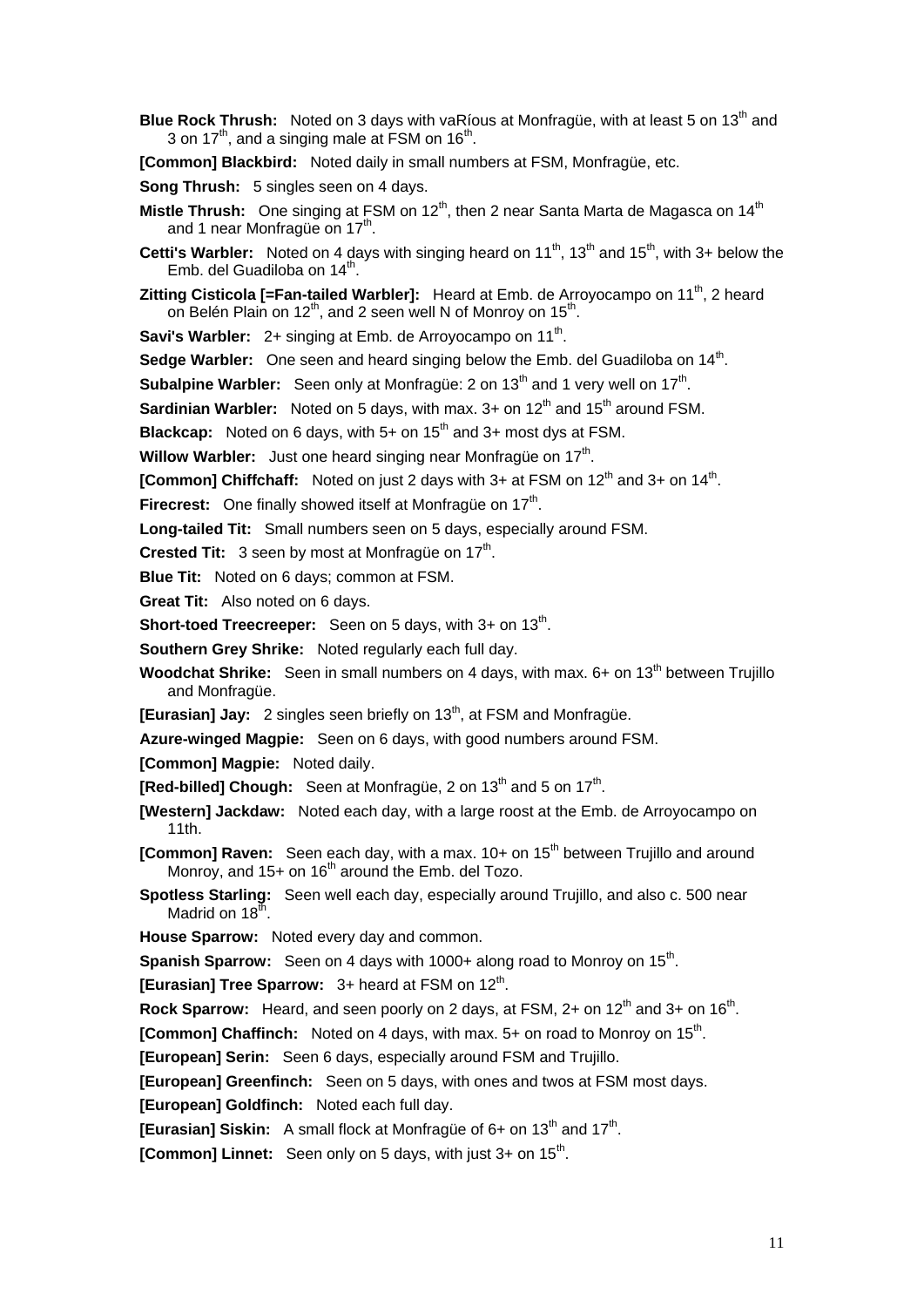**Blue Rock Thrush:** Noted on 3 days with vaRíous at Monfragüe, with at least 5 on 13<sup>th</sup> and 3 on  $17<sup>th</sup>$ , and a singing male at FSM on  $16<sup>th</sup>$ .

**[Common] Blackbird:** Noted daily in small numbers at FSM, Monfragüe, etc.

**Song Thrush:** 5 singles seen on 4 days.

- **Mistle Thrush:** One singing at FSM on 12<sup>th</sup>, then 2 near Santa Marta de Magasca on 14<sup>th</sup> and 1 near Monfragüe on 17<sup>th</sup>.
- **Cetti's Warbler:** Noted on 4 days with singing heard on 11<sup>th</sup>, 13<sup>th</sup> and 15<sup>th</sup>, with 3+ below the Emb. del Guadiloba on 14<sup>th</sup>.
- **Zitting Cisticola [=Fan-tailed Warbler]:** Heard at Emb. de Arroyocampo on 11<sup>th</sup>, 2 heard on Belén Plain on 12<sup>th</sup>, and 2 seen well N of Monroy on 15<sup>th</sup>.

**Savi's Warbler:** 2+ singing at Emb. de Arroyocampo on 11<sup>th</sup>.

**Sedge Warbler:** One seen and heard singing below the Emb. del Guadiloba on 14<sup>th</sup>.

**Subalpine Warbler:** Seen only at Monfragüe: 2 on 13<sup>th</sup> and 1 very well on 17<sup>th</sup>.

**Sardinian Warbler:** Noted on 5 days, with max. 3+ on 12<sup>th</sup> and 15<sup>th</sup> around FSM.

**Blackcap:** Noted on 6 days, with 5+ on 15<sup>th</sup> and 3+ most dys at FSM.

**Willow Warbler:** Just one heard singing near Monfrague on 17<sup>th</sup>.

**[Common] Chiffchaff:** Noted on just 2 days with 3+ at FSM on 12<sup>th</sup> and 3+ on 14<sup>th</sup>.

**Firecrest:** One finally showed itself at Monfrague on 17<sup>th</sup>.

**Long-tailed Tit:** Small numbers seen on 5 days, especially around FSM.

**Crested Tit:** 3 seen by most at Monfrague on 17<sup>th</sup>.

**Blue Tit:** Noted on 6 days; common at FSM.

**Great Tit:** Also noted on 6 days.

**Short-toed Treecreeper:** Seen on 5 days, with 3+ on 13<sup>th</sup>.

**Southern Grey Shrike:** Noted regularly each full day.

**Woodchat Shrike:** Seen in small numbers on 4 days, with max. 6+ on 13<sup>th</sup> between Trujillo and Monfragüe.

**[Eurasian] Jay:** 2 singles seen briefly on 13<sup>th</sup>, at FSM and Monfrague.

**Azure-winged Magpie:** Seen on 6 days, with good numbers around FSM.

**[Common] Magpie:** Noted daily.

**[Red-billed] Chough:** Seen at Monfragüe, 2 on 13<sup>th</sup> and 5 on 17<sup>th</sup>.

**[Western] Jackdaw:** Noted each day, with a large roost at the Emb. de Arroyocampo on 11th.

**[Common] Raven:** Seen each day, with a max. 10+ on 15<sup>th</sup> between Trujillo and around Monroy, and  $15+$  on  $16<sup>th</sup>$  around the Emb. del Tozo.

**Spotless Starling:** Seen well each day, especially around Trujillo, and also c. 500 near Madrid on  $18^{\text{th}}$ .

**House Sparrow:** Noted every day and common.

**Spanish Sparrow:** Seen on 4 days with 1000+ along road to Monroy on 15<sup>th</sup>.

**[Eurasian] Tree Sparrow: 3+ heard at FSM on 12<sup>th</sup>.** 

**Rock Sparrow:** Heard, and seen poorly on 2 days, at FSM, 2+ on 12<sup>th</sup> and 3+ on 16<sup>th</sup>.

**[Common] Chaffinch:** Noted on 4 days, with max. 5+ on road to Monroy on 15<sup>th</sup>.

**[European] Serin:** Seen 6 days, especially around FSM and Trujillo.

**[European] Greenfinch:** Seen on 5 days, with ones and twos at FSM most days.

**[European] Goldfinch:** Noted each full day.

**[Eurasian] Siskin:** A small flock at Monfrague of 6+ on 13<sup>th</sup> and 17<sup>th</sup>.

**[Common] Linnet:** Seen only on 5 days, with just 3+ on 15<sup>th</sup>.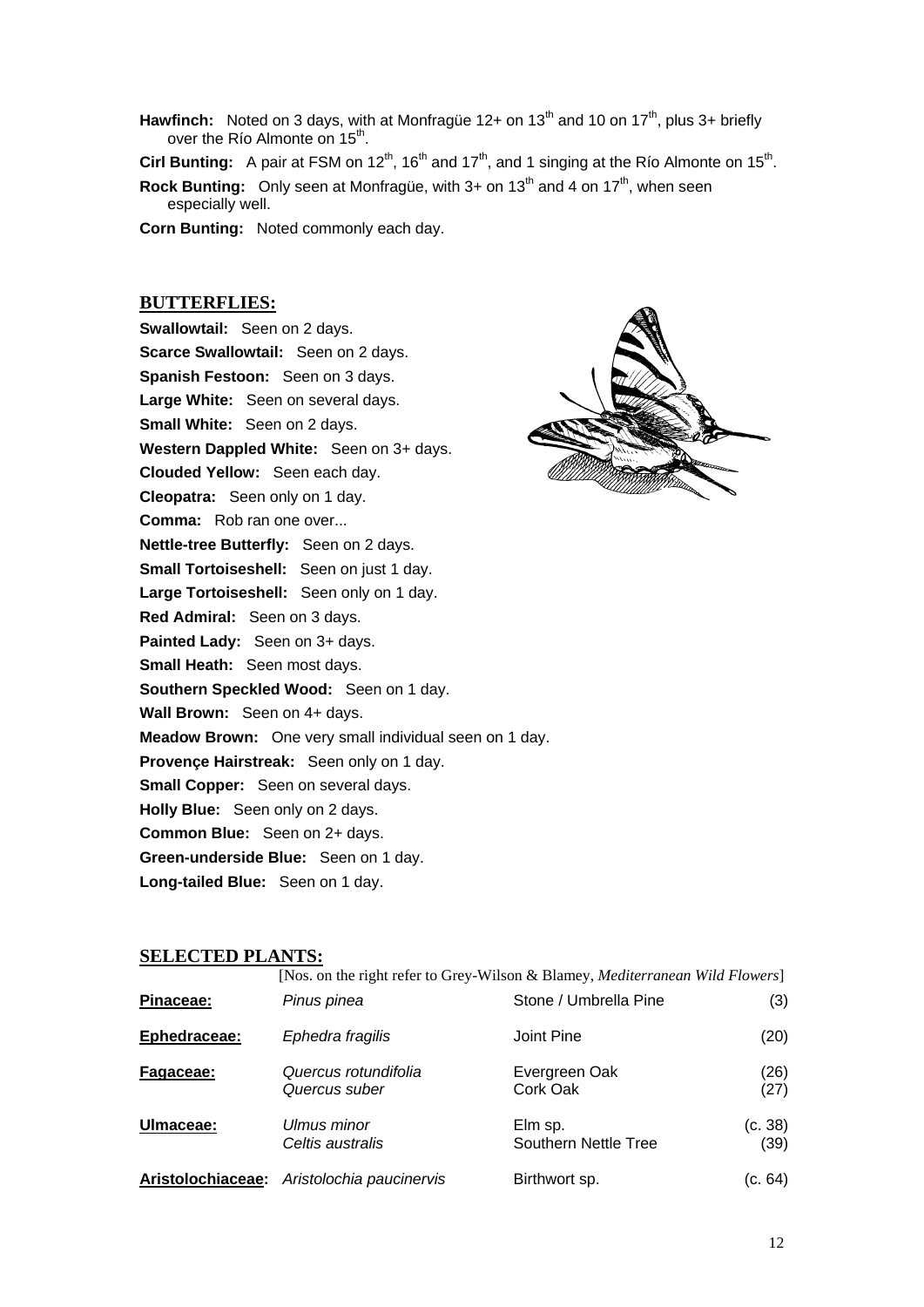- **Hawfinch:** Noted on 3 days, with at Monfragüe 12+ on 13<sup>th</sup> and 10 on 17<sup>th</sup>, plus 3+ briefly over the Río Almonte on 15<sup>th</sup>.
- **Cirl Bunting:** A pair at FSM on 12<sup>th</sup>, 16<sup>th</sup> and 17<sup>th</sup>, and 1 singing at the Río Almonte on 15<sup>th</sup>.
- **Rock Bunting:** Only seen at Monfrague, with 3+ on 13<sup>th</sup> and 4 on 17<sup>th</sup>, when seen especially well.
- **Corn Bunting:** Noted commonly each day.

# **BUTTERFLIES:**

**Swallowtail:** Seen on 2 days. **Scarce Swallowtail:** Seen on 2 days. **Spanish Festoon:** Seen on 3 days. **Large White:** Seen on several days. **Small White:** Seen on 2 days. **Western Dappled White:** Seen on 3+ days. **Clouded Yellow:** Seen each day. **Cleopatra:** Seen only on 1 day. **Comma:** Rob ran one over... **Nettle-tree Butterfly:** Seen on 2 days. **Small Tortoiseshell:** Seen on just 1 day. **Large Tortoiseshell:** Seen only on 1 day. **Red Admiral:** Seen on 3 days. **Painted Lady:** Seen on 3+ days. **Small Heath:** Seen most days. **Southern Speckled Wood:** Seen on 1 day. **Wall Brown:** Seen on 4+ days. **Meadow Brown:** One very small individual seen on 1 day. **Provençe Hairstreak:** Seen only on 1 day. **Small Copper:** Seen on several days. **Holly Blue:** Seen only on 2 days. **Common Blue:** Seen on 2+ days. **Green-underside Blue:** Seen on 1 day. **Long-tailed Blue:** Seen on 1 day.



## **SELECTED PLANTS:**

| Pinaceae:         | Pinus pinea                           | [Nos. on the right refer to Grey-Wilson & Blamey, <i>Mediterranean Wild Flowers</i> ]<br>Stone / Umbrella Pine | (3)             |
|-------------------|---------------------------------------|----------------------------------------------------------------------------------------------------------------|-----------------|
| Ephedraceae:      | Ephedra fragilis                      | Joint Pine                                                                                                     | (20)            |
| Fagaceae:         | Quercus rotundifolia<br>Quercus suber | Evergreen Oak<br>Cork Oak                                                                                      | (26)<br>(27)    |
| Ulmaceae:         | Ulmus minor<br>Celtis australis       | Elm sp.<br>Southern Nettle Tree                                                                                | (c. 38)<br>(39) |
| Aristolochiaceae: | Aristolochia paucinervis              | Birthwort sp.                                                                                                  | (c. 64)         |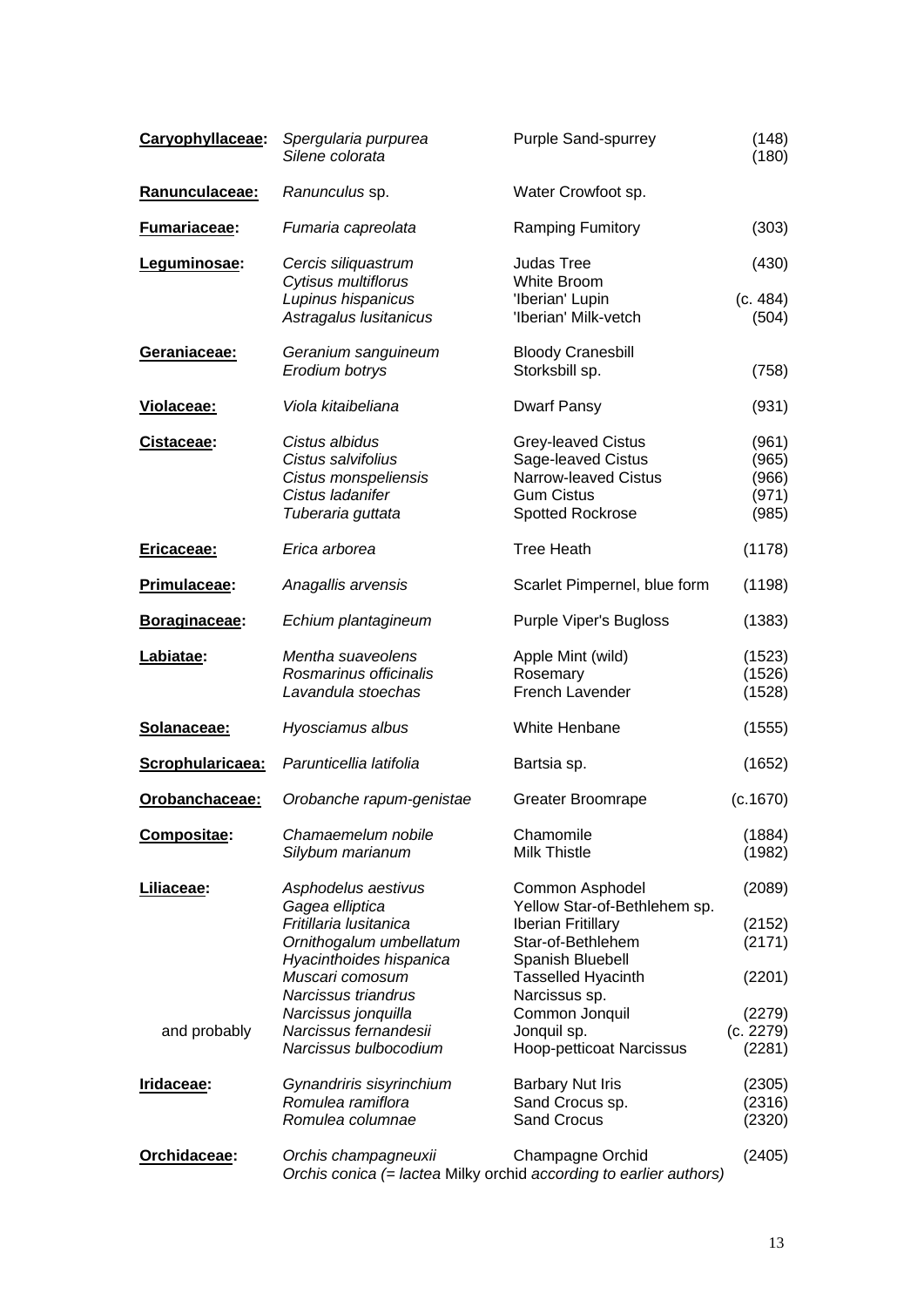| Caryophyllaceae:    | Spergularia purpurea<br>Silene colorata                                                               | <b>Purple Sand-spurrey</b>                                                                                | (148)<br>(180)                            |
|---------------------|-------------------------------------------------------------------------------------------------------|-----------------------------------------------------------------------------------------------------------|-------------------------------------------|
| Ranunculaceae:      | Ranunculus sp.                                                                                        | Water Crowfoot sp.                                                                                        |                                           |
| <b>Fumariaceae:</b> | Fumaria capreolata                                                                                    | <b>Ramping Fumitory</b>                                                                                   | (303)                                     |
| Leguminosae:        | Cercis siliquastrum<br>Cytisus multiflorus                                                            | <b>Judas Tree</b><br>White Broom                                                                          | (430)                                     |
|                     | Lupinus hispanicus<br>Astragalus lusitanicus                                                          | 'Iberian' Lupin<br>'Iberian' Milk-vetch                                                                   | (c. 484)<br>(504)                         |
| Geraniaceae:        | Geranium sanguineum<br>Erodium botrys                                                                 | <b>Bloody Cranesbill</b><br>Storksbill sp.                                                                | (758)                                     |
| Violaceae:          | Viola kitaibeliana                                                                                    | <b>Dwarf Pansy</b>                                                                                        | (931)                                     |
| Cistaceae:          | Cistus albidus<br>Cistus salvifolius<br>Cistus monspeliensis<br>Cistus ladanifer<br>Tuberaria guttata | Grey-leaved Cistus<br>Sage-leaved Cistus<br>Narrow-leaved Cistus<br><b>Gum Cistus</b><br>Spotted Rockrose | (961)<br>(965)<br>(966)<br>(971)<br>(985) |
| Ericaceae:          | Erica arborea                                                                                         | <b>Tree Heath</b>                                                                                         | (1178)                                    |
| Primulaceae:        | Anagallis arvensis                                                                                    | Scarlet Pimpernel, blue form                                                                              | (1198)                                    |
| Boraginaceae:       | Echium plantagineum                                                                                   | Purple Viper's Bugloss                                                                                    | (1383)                                    |
| Labiatae:           | Mentha suaveolens<br>Rosmarinus officinalis<br>Lavandula stoechas                                     | Apple Mint (wild)<br>Rosemary<br>French Lavender                                                          | (1523)<br>(1526)<br>(1528)                |
| Solanaceae:         | Hyosciamus albus                                                                                      | White Henbane                                                                                             | (1555)                                    |
| Scrophularicaea:    | Parunticellia latifolia                                                                               | Bartsia sp.                                                                                               | (1652)                                    |
| Orobanchaceae:      | Orobanche rapum-genistae                                                                              | Greater Broomrape                                                                                         | (c.1670)                                  |
| Compositae:         | Chamaemelum nobile<br>Silybum marianum                                                                | Chamomile<br><b>Milk Thistle</b>                                                                          | (1884)<br>(1982)                          |
| Liliaceae:          | Asphodelus aestivus<br>Gagea elliptica                                                                | Common Asphodel<br>Yellow Star-of-Bethlehem sp.                                                           | (2089)                                    |
|                     | Fritillaria Iusitanica<br>Ornithogalum umbellatum<br>Hyacinthoides hispanica                          | <b>Iberian Fritillary</b><br>Star-of-Bethlehem<br>Spanish Bluebell                                        | (2152)<br>(2171)                          |
|                     | Muscari comosum<br>Narcissus triandrus                                                                | <b>Tasselled Hyacinth</b><br>Narcissus sp.                                                                | (2201)                                    |
| and probably        | Narcissus jonquilla<br>Narcissus fernandesii<br>Narcissus bulbocodium                                 | Common Jonquil<br>Jonquil sp.<br>Hoop-petticoat Narcissus                                                 | (2279)<br>(c. 2279)<br>(2281)             |
| Iridaceae:          | Gynandriris sisyrinchium<br>Romulea ramiflora<br>Romulea columnae                                     | <b>Barbary Nut Iris</b><br>Sand Crocus sp.<br><b>Sand Crocus</b>                                          | (2305)<br>(2316)<br>(2320)                |
| Orchidaceae:        | Orchis champagneuxii                                                                                  | Champagne Orchid<br>Orchis conica (= lactea Milky orchid according to earlier authors)                    | (2405)                                    |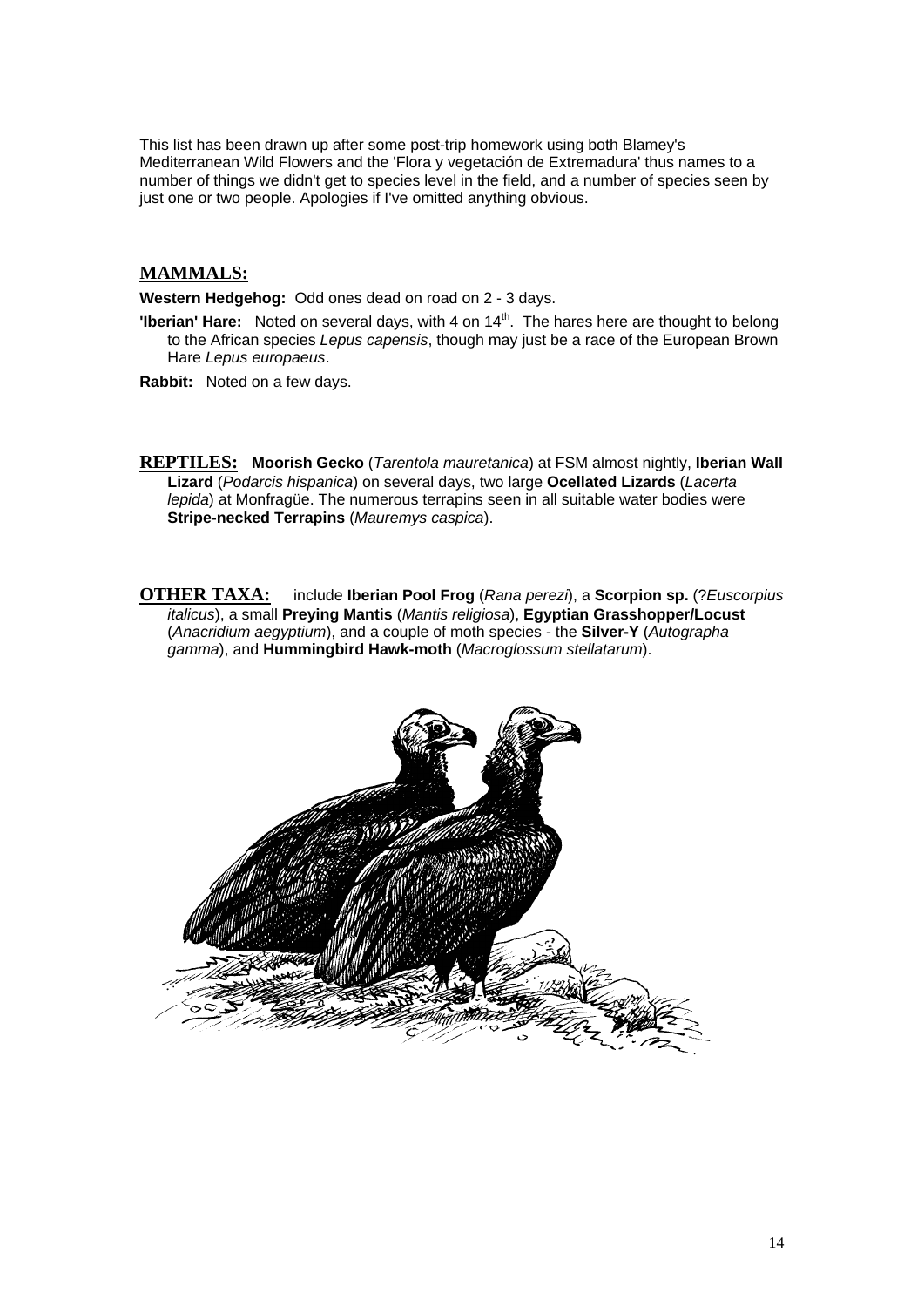This list has been drawn up after some post-trip homework using both Blamey's Mediterranean Wild Flowers and the 'Flora y vegetación de Extremadura' thus names to a number of things we didn't get to species level in the field, and a number of species seen by just one or two people. Apologies if I've omitted anything obvious.

# **MAMMALS:**

**Western Hedgehog:** Odd ones dead on road on 2 - 3 days.

**'Iberian' Hare:** Noted on several days, with 4 on 14<sup>th</sup>. The hares here are thought to belong to the African species *Lepus capensis*, though may just be a race of the European Brown Hare *Lepus europaeus*.

**Rabbit:** Noted on a few days.

**REPTILES: Moorish Gecko** (*Tarentola mauretanica*) at FSM almost nightly, **Iberian Wall Lizard** (*Podarcis hispanica*) on several days, two large **Ocellated Lizards** (*Lacerta lepida*) at Monfragüe. The numerous terrapins seen in all suitable water bodies were **Stripe-necked Terrapins** (*Mauremys caspica*).

**OTHER TAXA:** include **Iberian Pool Frog** (*Rana perezi*), a **Scorpion sp.** (?*Euscorpius italicus*), a small **Preying Mantis** (*Mantis religiosa*), **Egyptian Grasshopper/Locust** (*Anacridium aegyptium*), and a couple of moth species - the **Silver-Y** (*Autographa gamma*), and **Hummingbird Hawk-moth** (*Macroglossum stellatarum*).

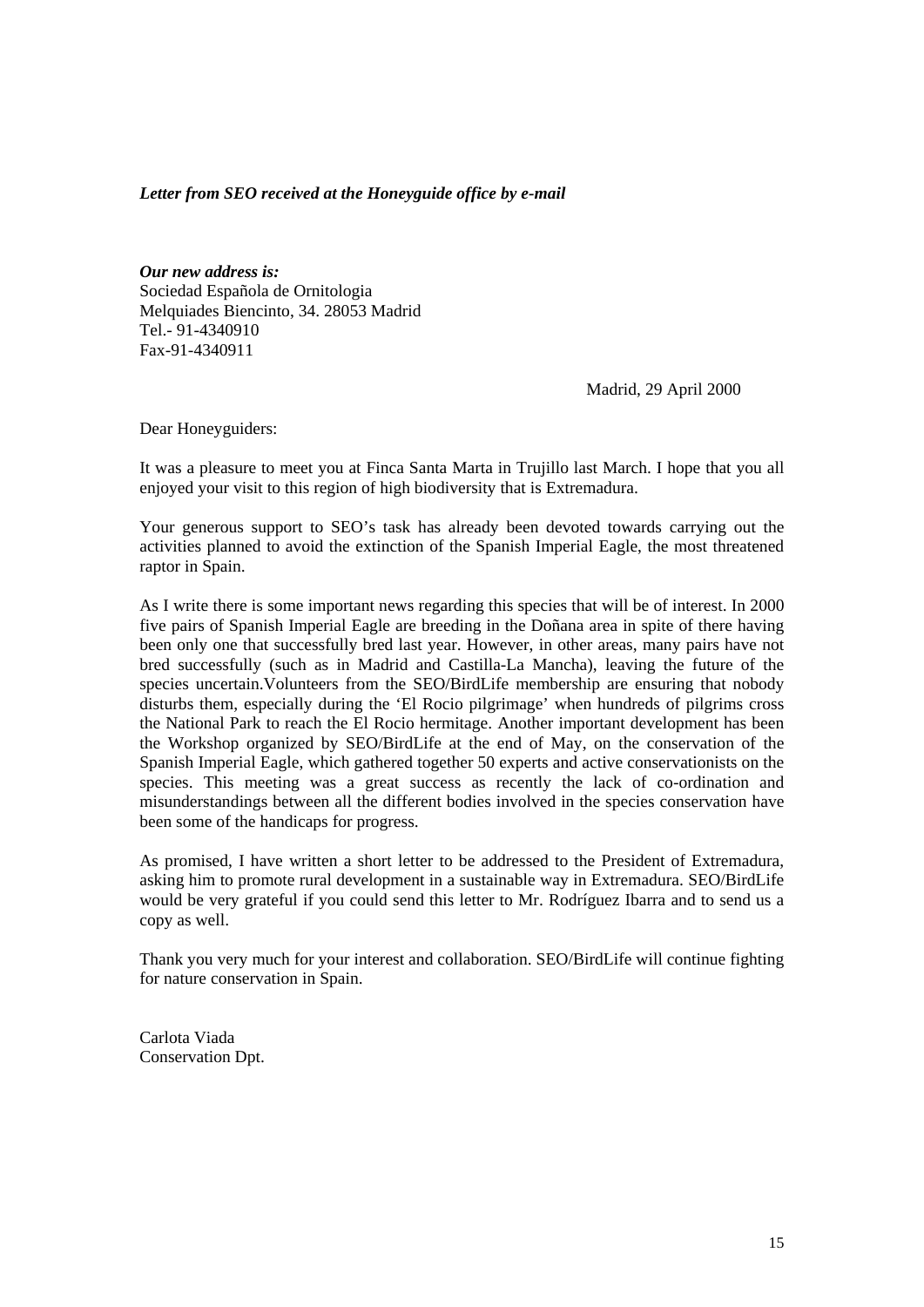## *Letter from SEO received at the Honeyguide office by e-mail*

*Our new address is:* Sociedad Española de Ornitologia Melquiades Biencinto, 34. 28053 Madrid Tel.- 91-4340910 Fax-91-4340911

Madrid, 29 April 2000

Dear Honeyguiders:

It was a pleasure to meet you at Finca Santa Marta in Trujillo last March. I hope that you all enjoyed your visit to this region of high biodiversity that is Extremadura.

Your generous support to SEO's task has already been devoted towards carrying out the activities planned to avoid the extinction of the Spanish Imperial Eagle, the most threatened raptor in Spain.

As I write there is some important news regarding this species that will be of interest. In 2000 five pairs of Spanish Imperial Eagle are breeding in the Doñana area in spite of there having been only one that successfully bred last year. However, in other areas, many pairs have not bred successfully (such as in Madrid and Castilla-La Mancha), leaving the future of the species uncertain.Volunteers from the SEO/BirdLife membership are ensuring that nobody disturbs them, especially during the 'El Rocio pilgrimage' when hundreds of pilgrims cross the National Park to reach the El Rocio hermitage. Another important development has been the Workshop organized by SEO/BirdLife at the end of May, on the conservation of the Spanish Imperial Eagle, which gathered together 50 experts and active conservationists on the species. This meeting was a great success as recently the lack of co-ordination and misunderstandings between all the different bodies involved in the species conservation have been some of the handicaps for progress.

As promised, I have written a short letter to be addressed to the President of Extremadura, asking him to promote rural development in a sustainable way in Extremadura. SEO/BirdLife would be very grateful if you could send this letter to Mr. Rodríguez Ibarra and to send us a copy as well.

Thank you very much for your interest and collaboration. SEO/BirdLife will continue fighting for nature conservation in Spain.

Carlota Viada Conservation Dpt.